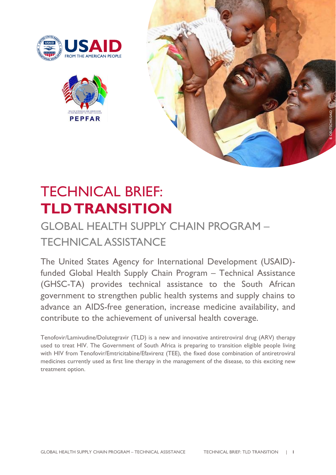





# TECHNICAL BRIEF: **TLD TRANSITION**

# GLOBAL HEALTH SUPPLY CHAIN PROGRAM – TECHNICAL ASSISTANCE

The United States Agency for International Development (USAID) funded Global Health Supply Chain Program – Technical Assistance (GHSC-TA) provides technical assistance to the South African government to strengthen public health systems and supply chains to advance an AIDS-free generation, increase medicine availability, and contribute to the achievement of universal health coverage.

Tenofovir/Lamivudine/Dolutegravir (TLD) is a new and innovative antiretroviral drug (ARV) therapy used to treat HIV. The Government of South Africa is preparing to transition eligible people living with HIV from Tenofovir/Emtricitabine/Efavirenz (TEE), the fixed dose combination of antiretroviral medicines currently used as first line therapy in the management of the disease, to this exciting new treatment option.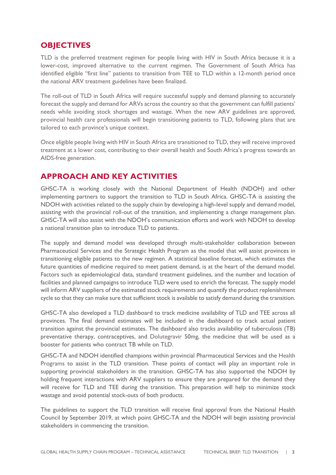#### **OBJECTIVES**

TLD is the preferred treatment regimen for people living with HIV in South Africa because it is a lower-cost, improved alternative to the current regimen. The Government of South Africa has identified eligible "first line" patients to transition from TEE to TLD within a 12-month period once the national ARV treatment guidelines have been finalized.

The roll-out of TLD in South Africa will require successful supply and demand planning to accurately forecast the supply and demand for ARVs across the country so that the government can fulfill patients' needs while avoiding stock shortages and wastage. When the new ARV guidelines are approved, provincial health care professionals will begin transitioning patients to TLD, following plans that are tailored to each province's unique context.

Once eligible people living with HIV in South Africa are transitioned to TLD, they will receive improved treatment at a lower cost, contributing to their overall health and South Africa's progress towards an AIDS-free generation.

### **APPROACH AND KEY ACTIVITIES**

GHSC-TA is working closely with the National Department of Health (NDOH) and other implementing partners to support the transition to TLD in South Africa. GHSC-TA is assisting the NDOH with activities related to the supply chain by developing a high-level supply and demand model, assisting with the provincial roll-out of the transition, and implementing a change management plan. GHSC-TA will also assist with the NDOH's communication efforts and work with NDOH to develop a national transition plan to introduce TLD to patients.

The supply and demand model was developed through multi-stakeholder collaboration between Pharmaceutical Services and the Strategic Health Program as the model that will assist provinces in transitioning eligible patients to the new regimen. A statistical baseline forecast, which estimates the future quantities of medicine required to meet patient demand, is at the heart of the demand model. Factors such as epidemiological data, standard treatment guidelines, and the number and location of facilities and planned campaigns to introduce TLD were used to enrich the forecast. The supply model will inform ARV suppliers of the estimated stock requirements and quantify the product replenishment cycle so that they can make sure that sufficient stock is available to satisfy demand during the transition.

GHSC-TA also developed a TLD dashboard to track medicine availability of TLD and TEE across all provinces. The final demand estimates will be included in the dashboard to track actual patient transition against the provincial estimates. The dashboard also tracks availability of tuberculosis (TB) preventative therapy, contraceptives, and Dolutegravir 50mg, the medicine that will be used as a booster for patients who contract TB while on TLD.

GHSC-TA and NDOH identified champions within provincial Pharmaceutical Services and the Health Programs to assist in the TLD transition. These points of contact will play an important role in supporting provincial stakeholders in the transition. GHSC-TA has also supported the NDOH by holding frequent interactions with ARV suppliers to ensure they are prepared for the demand they will receive for TLD and TEE during the transition. This preparation will help to minimize stock wastage and avoid potential stock-outs of both products.

The guidelines to support the TLD transition will receive final approval from the National Health Council by September 2019, at which point GHSC-TA and the NDOH will begin assisting provincial stakeholders in commencing the transition.